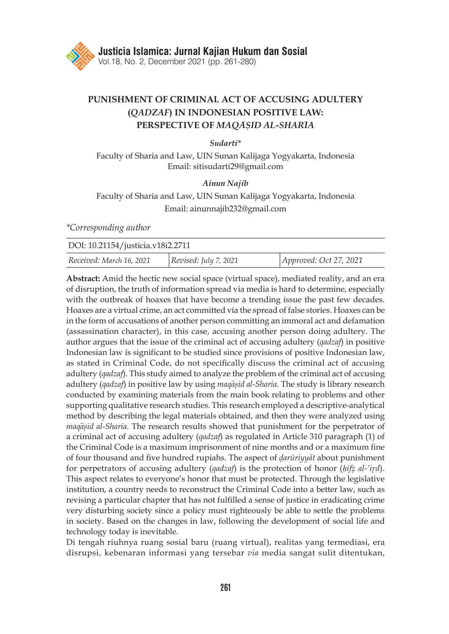

# **PUNISHMENT OF CRIMINAL ACT OF ACCUSING ADULTERY (***QADZAF***) IN INDONESIAN POSITIVE LAW: PERSPECTIVE OF** *MAQA*>*S*{*ID AL-SHARI*>*A*

### *Sudarti\**

Faculty of Sharia and Law, UIN Sunan Kalijaga Yogyakarta, Indonesia Email: sitisudarti29@gmail.com

#### *Ainun Najib*

## Faculty of Sharia and Law, UIN Sunan Kalijaga Yogyakarta, Indonesia Email: ainunnajib232@gmail.com

*\*Corresponding author*

| DOI: 10.21154/justicia.v18i2.2711 |                       |                        |
|-----------------------------------|-----------------------|------------------------|
| Received: March 16, 2021          | Revised: July 7, 2021 | Approved: Oct 27, 2021 |

**Abstract:** Amid the hectic new social space (virtual space), mediated reality, and an era of disruption, the truth of information spread via media is hard to determine, especially with the outbreak of hoaxes that have become a trending issue the past few decades. Hoaxes are a virtual crime, an act committed via the spread of false stories. Hoaxes can be in the form of accusations of another person committing an immoral act and defamation (assassination character), in this case, accusing another person doing adultery. The author argues that the issue of the criminal act of accusing adultery (*qadzaf*) in positive Indonesian law is significant to be studied since provisions of positive Indonesian law, as stated in Criminal Code, do not specifically discuss the criminal act of accusing adultery (*qadzaf*). This study aimed to analyze the problem of the criminal act of accusing adultery (*qadzaf*) in positive law by using *maqasid al-Sharia*. The study is library research conducted by examining materials from the main book relating to problems and other supporting qualitative research studies. This research employed a descriptive-analytical method by describing the legal materials obtained, and then they were analyzed using *maqasid al-Sharia*. The research results showed that punishment for the perpetrator of a criminal act of accusing adultery (*qadzaf*) as regulated in Article 310 paragraph (1) of the Criminal Code is a maximum imprisonment of nine months and or a maximum fine of four thousand and five hundred rupiahs. The aspect of *d*{*arūriyyāt* about punishment for perpetrators of accusing adultery (*qadzaf*) is the protection of honor (*hifz al-'ird*). This aspect relates to everyone's honor that must be protected. Through the legislative institution, a country needs to reconstruct the Criminal Code into a better law, such as revising a particular chapter that has not fulfilled a sense of justice in eradicating crime very disturbing society since a policy must righteously be able to settle the problems in society. Based on the changes in law, following the development of social life and technology today is inevitable.

Di tengah riuhnya ruang sosial baru (ruang virtual), realitas yang termediasi, era disrupsi, kebenaran informasi yang tersebar *via* media sangat sulit ditentukan,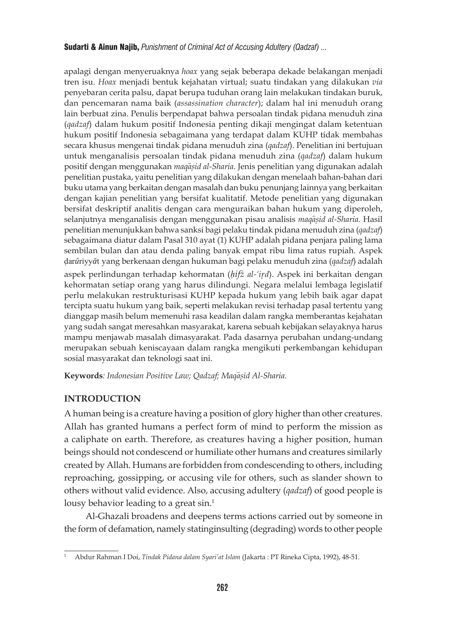apalagi dengan menyeruaknya *hoax* yang sejak beberapa dekade belakangan menjadi tren isu. *Hoax* menjadi bentuk kejahatan virtual; suatu tindakan yang dilakukan *via* penyebaran cerita palsu, dapat berupa tuduhan orang lain melakukan tindakan buruk, dan pencemaran nama baik (*assassination character*); dalam hal ini menuduh orang lain berbuat zina. Penulis berpendapat bahwa persoalan tindak pidana menuduh zina (*qadzaf*) dalam hukum positif Indonesia penting dikaji mengingat dalam ketentuan hukum positif Indonesia sebagaimana yang terdapat dalam KUHP tidak membahas secara khusus mengenai tindak pidana menuduh zina (*qadzaf*). Penelitian ini bertujuan untuk menganalisis persoalan tindak pidana menuduh zina (*qadzaf*) dalam hukum positif dengan menggunakan *maqa*>*s*{*id al-Sharia.* Jenis penelitian yang digunakan adalah penelitian pustaka, yaitu penelitian yang dilakukan dengan menelaah bahan-bahan dari buku utama yang berkaitan dengan masalah dan buku penunjang lainnya yang berkaitan dengan kajian penelitian yang bersifat kualitatif. Metode penelitian yang digunakan bersifat deskriptif analitis dengan cara menguraikan bahan hukum yang diperoleh, selanjutnya menganalisis dengan menggunakan pisau analisis *maqasid al-Sharia*. Hasil penelitian menunjukkan bahwa sanksi bagi pelaku tindak pidana menuduh zina (*qadzaf*) sebagaimana diatur dalam Pasal 310 ayat (1) KUHP adalah pidana penjara paling lama sembilan bulan dan atau denda paling banyak empat ribu lima ratus rupiah. Aspek d{ar*ū*riyy*ā*t yang berkenaan dengan hukuman bagi pelaku menuduh zina (*qadzaf*) adalah aspek perlindungan terhadap kehormatan (*ḥifż al-'ir*{*d*). Aspek ini berkaitan dengan kehormatan setiap orang yang harus dilindungi. Negara melalui lembaga legislatif perlu melakukan restrukturisasi KUHP kepada hukum yang lebih baik agar dapat tercipta suatu hukum yang baik, seperti melakukan revisi terhadap pasal tertentu yang dianggap masih belum memenuhi rasa keadilan dalam rangka memberantas kejahatan yang sudah sangat meresahkan masyarakat, karena sebuah kebijakan selayaknya harus mampu menjawab masalah dimasyarakat. Pada dasarnya perubahan undang-undang merupakan sebuah keniscayaan dalam rangka mengikuti perkembangan kehidupan sosial masyarakat dan teknologi saat ini.

Keywords: Indonesian Positive Law; Qadzaf; Maqāsid Al-Sharia.

## **INTRODUCTION**

A human being is a creature having a position of glory higher than other creatures. Allah has granted humans a perfect form of mind to perform the mission as a caliphate on earth. Therefore, as creatures having a higher position, human beings should not condescend or humiliate other humans and creatures similarly created by Allah. Humans are forbidden from condescending to others, including reproaching, gossipping, or accusing vile for others, such as slander shown to others without valid evidence. Also, accusing adultery (*qadzaf*) of good people is lousy behavior leading to a great sin.<sup>1</sup>

Al-Ghazali broadens and deepens terms actions carried out by someone in the form of defamation, namely statinginsulting (degrading) words to other people

<sup>1</sup> Abdur Rahman I Doi, *Tindak Pidana dalam Syari'at Islam* (Jakarta : PT Rineka Cipta, 1992), 48-51.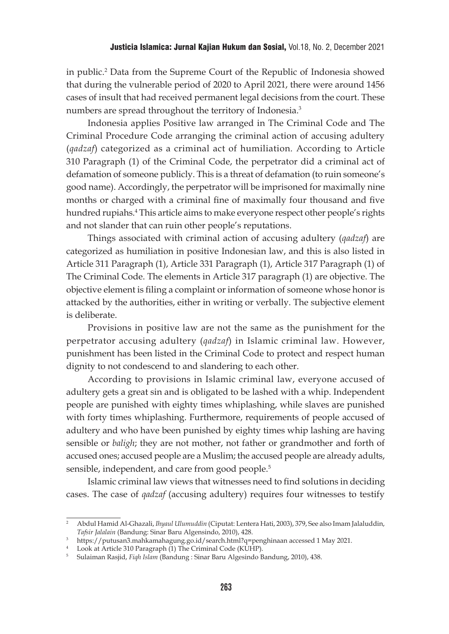in public.2 Data from the Supreme Court of the Republic of Indonesia showed that during the vulnerable period of 2020 to April 2021, there were around 1456 cases of insult that had received permanent legal decisions from the court. These numbers are spread throughout the territory of Indonesia.3

Indonesia applies Positive law arranged in The Criminal Code and The Criminal Procedure Code arranging the criminal action of accusing adultery (*qadzaf*) categorized as a criminal act of humiliation. According to Article 310 Paragraph (1) of the Criminal Code, the perpetrator did a criminal act of defamation of someone publicly. This is a threat of defamation (to ruin someone's good name). Accordingly, the perpetrator will be imprisoned for maximally nine months or charged with a criminal fine of maximally four thousand and five hundred rupiahs.4 This article aims to make everyone respect other people's rights and not slander that can ruin other people's reputations.

Things associated with criminal action of accusing adultery (*qadzaf*) are categorized as humiliation in positive Indonesian law, and this is also listed in Article 311 Paragraph (1), Article 331 Paragraph (1), Article 317 Paragraph (1) of The Criminal Code. The elements in Article 317 paragraph (1) are objective. The objective element is filing a complaint or information of someone whose honor is attacked by the authorities, either in writing or verbally. The subjective element is deliberate.

Provisions in positive law are not the same as the punishment for the perpetrator accusing adultery (*qadzaf*) in Islamic criminal law. However, punishment has been listed in the Criminal Code to protect and respect human dignity to not condescend to and slandering to each other.

According to provisions in Islamic criminal law, everyone accused of adultery gets a great sin and is obligated to be lashed with a whip. Independent people are punished with eighty times whiplashing, while slaves are punished with forty times whiplashing. Furthermore, requirements of people accused of adultery and who have been punished by eighty times whip lashing are having sensible or *baligh*; they are not mother, not father or grandmother and forth of accused ones; accused people are a Muslim; the accused people are already adults, sensible, independent, and care from good people.<sup>5</sup>

Islamic criminal law views that witnesses need to find solutions in deciding cases. The case of *qadzaf* (accusing adultery) requires four witnesses to testify

<sup>2</sup> Abdul Hamid Al-Ghazali, *Ihyaul Ulumuddin* (Ciputat: Lentera Hati, 2003), 379, See also Imam Jalaluddin, *Tafsir Jalalain* (Bandung: Sinar Baru Algensindo, 2010), 428.

<sup>3</sup> https://putusan3.mahkamahagung.go.id/search.html?q=penghinaan accessed 1 May 2021.

<sup>&</sup>lt;sup>4</sup> Look at Article 310 Paragraph (1) The Criminal Code (KUHP).

<sup>5</sup> Sulaiman Rasjid, *Fiqh Islam* (Bandung : Sinar Baru Algesindo Bandung, 2010), 438.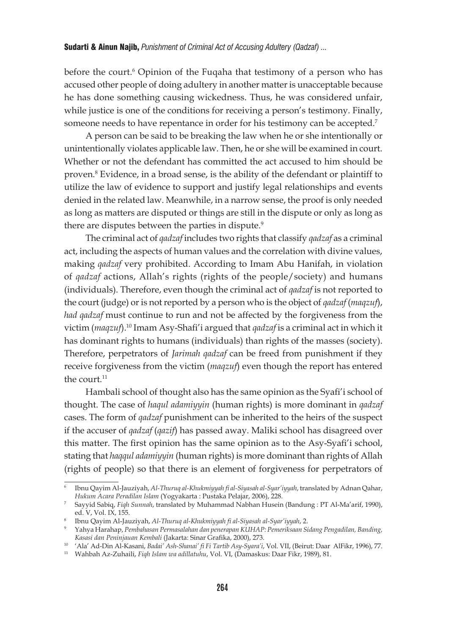before the court.<sup>6</sup> Opinion of the Fuqaha that testimony of a person who has accused other people of doing adultery in another matter is unacceptable because he has done something causing wickedness. Thus, he was considered unfair, while justice is one of the conditions for receiving a person's testimony. Finally, someone needs to have repentance in order for his testimony can be accepted.<sup>7</sup>

A person can be said to be breaking the law when he or she intentionally or unintentionally violates applicable law. Then, he or she will be examined in court. Whether or not the defendant has committed the act accused to him should be proven.<sup>8</sup> Evidence, in a broad sense, is the ability of the defendant or plaintiff to utilize the law of evidence to support and justify legal relationships and events denied in the related law. Meanwhile, in a narrow sense, the proof is only needed as long as matters are disputed or things are still in the dispute or only as long as there are disputes between the parties in dispute.<sup>9</sup>

The criminal act of *qadzaf* includes two rights that classify *qadzaf* as a criminal act, including the aspects of human values and the correlation with divine values, making *qadzaf* very prohibited. According to Imam Abu Hanifah, in violation of *qadzaf* actions, Allah's rights (rights of the people/society) and humans (individuals). Therefore, even though the criminal act of *qadzaf* is not reported to the court (judge) or is not reported by a person who is the object of *qadzaf* (*maqzuf*), *had qadzaf* must continue to run and not be affected by the forgiveness from the victim (*maqzuf*).10 Imam Asy-Shafi'i argued that *qadzaf* is a criminal act in which it has dominant rights to humans (individuals) than rights of the masses (society). Therefore, perpetrators of *Jarimah qadzaf* can be freed from punishment if they receive forgiveness from the victim (*maqzuf*) even though the report has entered the court.<sup>11</sup>

Hambali school of thought also has the same opinion as the Syafi'i school of thought. The case of *haqul adamiyyin* (human rights) is more dominant in *qadzaf* cases. The form of *qadzaf* punishment can be inherited to the heirs of the suspect if the accuser of *qadzaf* (*qazif*) has passed away. Maliki school has disagreed over this matter. The first opinion has the same opinion as to the Asy-Syafi'i school, stating that *haqqul adamiyyin* (human rights) is more dominant than rights of Allah (rights of people) so that there is an element of forgiveness for perpetrators of

<sup>6</sup> Ibnu Qayim Al-Jauziyah, *Al-Thuruq al-Khukmiyyah fi al-Siyasah al-Syar'iyyah*, translated by Adnan Qahar, *Hukum Acara Peradilan Islam* (Yogyakarta : Pustaka Pelajar, 2006), 228.

<sup>7</sup> Sayyid Sabiq, *Fiqh Sunnah*, translated by Muhammad Nabhan Husein (Bandung : PT Al-Ma'arif, 1990), ed. V, Vol. IX, 155.

<sup>8</sup> Ibnu Qayim Al-Jauziyah, *Al-Thuruq al-Khukmiyyah fi al-Siyasah al-Syar'iyyah*, 2. 9 Yahya Harahap, *Pembahasan Permasalahan dan penerapan KUHAP: Pemeriksaan Sidang Pengadilan, Banding, Kasasi dan Peninjauan Kembali* (Jakarta: Sinar Grafika, 2000), 273.

<sup>&</sup>lt;sup>10</sup> 'Ala' Ad-Din Al-Kasani, *Badai' Ash-Shanai' fi Fi Tartib Asy-Syara'i*, Vol. VII, (Beirut: Daar AlFikr, 1996), 77.<br><sup>11</sup> Wahbah Az-Zuhaili, *Fiqh Islam wa adillatuhu*, Vol. VI, (Damaskus: Daar Fikr, 1989), 81.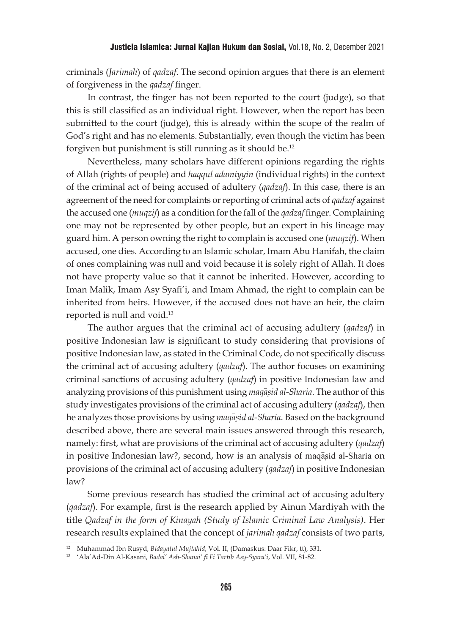criminals (*Jarimah*) of *qadzaf*. The second opinion argues that there is an element of forgiveness in the *qadzaf* finger.

In contrast, the finger has not been reported to the court (judge), so that this is still classified as an individual right. However, when the report has been submitted to the court (judge), this is already within the scope of the realm of God's right and has no elements. Substantially, even though the victim has been forgiven but punishment is still running as it should be.12

Nevertheless, many scholars have different opinions regarding the rights of Allah (rights of people) and *haqqul adamiyyin* (individual rights) in the context of the criminal act of being accused of adultery (*qadzaf*). In this case, there is an agreement of the need for complaints or reporting of criminal acts of *qadzaf* against the accused one (*muqzif*) as a condition for the fall of the *qadzaf* finger. Complaining one may not be represented by other people, but an expert in his lineage may guard him. A person owning the right to complain is accused one (*muqzif*). When accused, one dies. According to an Islamic scholar, Imam Abu Hanifah, the claim of ones complaining was null and void because it is solely right of Allah. It does not have property value so that it cannot be inherited. However, according to Iman Malik, Imam Asy Syafi'i, and Imam Ahmad, the right to complain can be inherited from heirs. However, if the accused does not have an heir, the claim reported is null and void.13

The author argues that the criminal act of accusing adultery (*qadzaf*) in positive Indonesian law is significant to study considering that provisions of positive Indonesian law, as stated in the Criminal Code, do not specifically discuss the criminal act of accusing adultery (*qadzaf*). The author focuses on examining criminal sanctions of accusing adultery (*qadzaf*) in positive Indonesian law and analyzing provisions of this punishment using *maqasid al-Sharia*. The author of this study investigates provisions of the criminal act of accusing adultery (*qadzaf*), then he analyzes those provisions by using *maqasid al-Sharia*. Based on the background described above, there are several main issues answered through this research, namely: first, what are provisions of the criminal act of accusing adultery (*qadzaf*) in positive Indonesian law?, second, how is an analysis of maqasid al-Sharia on provisions of the criminal act of accusing adultery (*qadzaf*) in positive Indonesian law?

Some previous research has studied the criminal act of accusing adultery (*qadzaf*). For example, first is the research applied by Ainun Mardiyah with the title *Qadzaf in the form of Kinayah (Study of Islamic Criminal Law Analysis)*. Her research results explained that the concept of *jarimah qadzaf* consists of two parts,

<sup>12</sup> Muhammad Ibn Rusyd, *Bidayatul Mujtahid*, Vol. II, (Damaskus: Daar Fikr, tt), 331. 13 'Ala'Ad-Din Al-Kasani, *Badai' Ash-Shanai' fi Fi Tartib Asy-Syara'i*, Vol. VII, 81-82.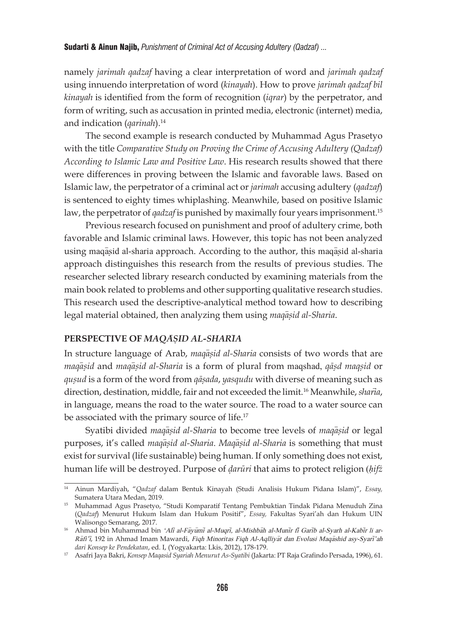namely *jarimah qadzaf* having a clear interpretation of word and *jarimah qadzaf* using innuendo interpretation of word (*kinayah*). How to prove *jarimah qadzaf bil kinayah* is identified from the form of recognition (*iqrar*) by the perpetrator, and form of writing, such as accusation in printed media, electronic (internet) media, and indication (*qarinah*).14

The second example is research conducted by Muhammad Agus Prasetyo with the title *Comparative Study on Proving the Crime of Accusing Adultery (Qadzaf) According to Islamic Law and Positive Law*. His research results showed that there were differences in proving between the Islamic and favorable laws. Based on Islamic law, the perpetrator of a criminal act or *jarimah* accusing adultery (*qadzaf*) is sentenced to eighty times whiplashing. Meanwhile, based on positive Islamic law, the perpetrator of *qadzaf* is punished by maximally four years imprisonment.<sup>15</sup>

Previous research focused on punishment and proof of adultery crime, both favorable and Islamic criminal laws. However, this topic has not been analyzed using maqasid al-sharia approach. According to the author, this maqasid al-sharia approach distinguishes this research from the results of previous studies. The researcher selected library research conducted by examining materials from the main book related to problems and other supporting qualitative research studies. This research used the descriptive-analytical method toward how to describing legal material obtained, then analyzing them using *maqasid al-Sharia*.

## **PERSPECTIVE OF** *MAQA*>*S*{*ID AL-SHARI*>*A*

In structure language of Arab, *maqasid al-Sharia* consists of two words that are *maqa*>*s*{*id* and *maqa*>*s*{*id al-Sharia* is a form of plural from maqshad, *qās*{*d maqs*{*id* or *qus*{*ud* is a form of the word from *qās*{*ada*, *yasqudu* with diverse of meaning such as direction, destination, middle, fair and not exceeded the limit.<sup>16</sup> Meanwhile, *sharia*, in language, means the road to the water source. The road to a water source can be associated with the primary source of life.<sup>17</sup>

Syatibi divided *maqasid al-Sharia* to become tree levels of *maqasid* or legal purposes, it's called *magasid al-Sharia*. *Magasid al-Sharia* is something that must exist for survival (life sustainable) being human. If only something does not exist, human life will be destroyed. Purpose of *d*{*arūri* that aims to protect religion (*ḥifż* 

<sup>14</sup> Ainun Mardiyah, "*Qadzaf* dalam Bentuk Kinayah (Studi Analisis Hukum Pidana Islam)", *Essay,*  Sumatera Utara Medan, 2019.

<sup>&</sup>lt;sup>15</sup> Muhammad Agus Prasetyo, "Studi Komparatif Tentang Pembuktian Tindak Pidana Menuduh Zina (*Qadzaf*) Menurut Hukum Islam dan Hukum Positif", *Essay,* Fakultas Syari'ah dan Hukum UIN Walisongo Semarang, 2017.

<sup>&</sup>lt;sup>16</sup> Ahmad bin Muhammad bin 'Ali al-Fayumi al-Muqri, al-Mishbah al-Munir fi Garib al-Syarh al-Kabir li ar-Rāfi'i, 192 in Ahmad Imam Mawardi, Fiqh Minoritas Fiqh Al-Aqlliyat dan Evolusi Maqashid asy-Syari'ah *dari Konsep ke Pendekatan*, ed. I, (Yogyakarta: Lkis, 2012), 178-179.

<sup>17</sup> Asafri Jaya Bakri, *Konsep Maqasid Syariah Menurut As-Syatibi* (Jakarta: PT Raja Grafindo Persada, 1996), 61.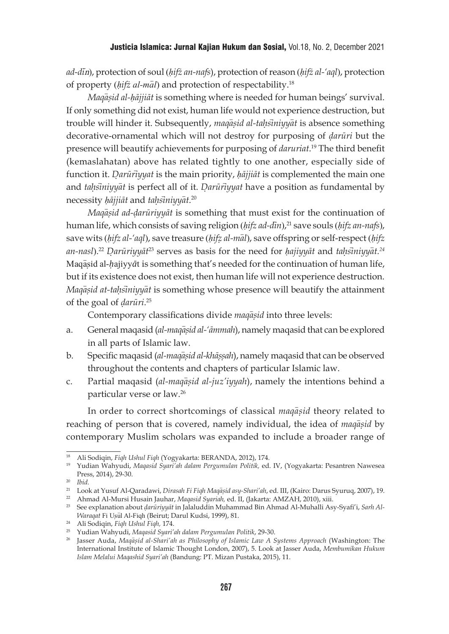*ad-di*>n), protection of soul (*ḥifż an-nafs*), protection of reason (*ḥifż al-'aql*), protection of property (*hifz al-mal*) and protection of respectability.<sup>18</sup>

*Magāsid al-hājjiāt* is something where is needed for human beings' survival. If only something did not exist, human life would not experience destruction, but trouble will hinder it. Subsequently, *maqasid al-tahsiniyyat* is absence something decorative-ornamental which will not destroy for purposing of *d*{*arūri* but the presence will beautify achievements for purposing of *daruriat*. <sup>19</sup> The third benefit (kemaslahatan) above has related tightly to one another, especially side of function it. *Darūrīyyat* is the main priority, *hājjiāt* is complemented the main one and *tahsiniyyat* is perfect all of it. *Darūriyyat* have a position as fundamental by necessity *ḥājjiāt* and *tah*{*si*>*niyya*>*t*. 20

*Magasid ad-darūriyyāt* is something that must exist for the continuation of human life, which consists of saving religion (*ḥifz ad-din*> ), 21 save souls (*ḥifz an-nafs*), save wits (*hifz al-'aql*), save treasure (*hifz al-mal*), save offspring or self-respect (*hifz an-nasl*). <sup>22</sup> *D*{*arūriyyāt*<sup>23</sup> serves as basis for the need for *ḥajiyyāt* and *tah*{*si*>*niyya*>*t.24* Maqasid al-*h*ajiyy $\bar{a}$ t is something that's needed for the continuation of human life, but if its existence does not exist, then human life will not experience destruction. *Maqasid at-tahsiniyyat* is something whose presence will beautify the attainment of the goal of *d*{*arūri*. 25

Contemporary classifications divide *maqasid* into three levels:

- a. General maqasid (al-maqasid al-'ammah), namely maqasid that can be explored in all parts of Islamic law.
- b. Specific magasid (*al-magasid al-khāssah*), namely magasid that can be observed throughout the contents and chapters of particular Islamic law.
- c. Partial maqasid (al-maqasid al-juz'iyyah), namely the intentions behind a particular verse or law.26

In order to correct shortcomings of classical *maqasid* theory related to reaching of person that is covered, namely individual, the idea of *maqasid* by contemporary Muslim scholars was expanded to include a broader range of

<sup>22</sup> Ahmad Al-Mursi Husain Jauhar, *Maqasid Syariah,* ed. II, (Jakarta: AMZAH, 2010), xiii.

<sup>18</sup> Ali Sodiqin, *Fiqh Ushul Fiqh* (Yogyakarta: BERANDA, 2012), 174.

<sup>19</sup> Yudian Wahyudi, *Maqasid Syari'ah dalam Pergumulan Politik,* ed. IV, (Yogyakarta: Pesantren Nawesea Press, 2014), 29-30.

<sup>20</sup> *Ibid.*

<sup>&</sup>lt;sup>21</sup> Look at Yusuf Al-Qaradawi, *Dirasah Fi Fiqh Maqasid asy-Shari'ah*, ed. III, (Kairo: Darus Syuruq, 2007), 19.

<sup>&</sup>lt;sup>23</sup> See explanation about *darūriyyāt* in Jalaluddin Muhammad Bin Ahmad Al-Muhalli Asy-Syafi'i, *Sarh Al-Waraqat* Fi Us{u>l Al-Fiqh (Beirut; Darul Kudsi, 1999), 81.

<sup>24</sup> Ali Sodiqin, *Fiqh Ushul Fiqh,* 174.

<sup>&</sup>lt;sup>26</sup> Jasser Auda, *Maqasid al-Shari'ah as Philosophy of Islamic Law A Systems Approach (Washington: The* International Institute of Islamic Thought London, 2007), 5. Look at Jasser Auda, *Membumikan Hukum Islam Melalui Maqashid Syari'ah* (Bandung: PT. Mizan Pustaka, 2015), 11.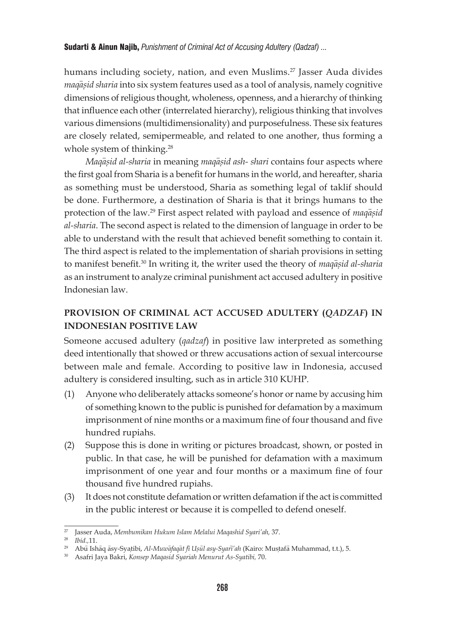humans including society, nation, and even Muslims.<sup>27</sup> Jasser Auda divides *maqasid sharia* into six system features used as a tool of analysis, namely cognitive dimensions of religious thought, wholeness, openness, and a hierarchy of thinking that influence each other (interrelated hierarchy), religious thinking that involves various dimensions (multidimensionality) and purposefulness. These six features are closely related, semipermeable, and related to one another, thus forming a whole system of thinking.<sup>28</sup>

*Maqasid al-sharia* in meaning *maqasid ash- shari* contains four aspects where the first goal from Sharia is a benefit for humans in the world, and hereafter, sharia as something must be understood, Sharia as something legal of taklif should be done. Furthermore, a destination of Sharia is that it brings humans to the protection of the law.<sup>29</sup> First aspect related with payload and essence of *maqasid al-sharia*. The second aspect is related to the dimension of language in order to be able to understand with the result that achieved benefit something to contain it. The third aspect is related to the implementation of shariah provisions in setting to manifest benefit.<sup>30</sup> In writing it, the writer used the theory of *maqasid al-sharia* as an instrument to analyze criminal punishment act accused adultery in positive Indonesian law.

# **PROVISION OF CRIMINAL ACT ACCUSED ADULTERY (***QADZAF***) IN INDONESIAN POSITIVE LAW**

Someone accused adultery (*qadzaf*) in positive law interpreted as something deed intentionally that showed or threw accusations action of sexual intercourse between male and female. According to positive law in Indonesia, accused adultery is considered insulting, such as in article 310 KUHP.

- (1) Anyone who deliberately attacks someone's honor or name by accusing him of something known to the public is punished for defamation by a maximum imprisonment of nine months or a maximum fine of four thousand and five hundred rupiahs.
- (2) Suppose this is done in writing or pictures broadcast, shown, or posted in public. In that case, he will be punished for defamation with a maximum imprisonment of one year and four months or a maximum fine of four thousand five hundred rupiahs.
- (3) It does not constitute defamation or written defamation if the act is committed in the public interest or because it is compelled to defend oneself.

<sup>27</sup> Jasser Auda, *Membumikan Hukum Islam Melalui Maqashid Syari'ah,* 37.

<sup>28</sup> *Ibid.,*11.

<sup>&</sup>lt;sup>29</sup> Abu Ishāq āsy-Syatibi, *Al-Muwafaqat fi Usūl asy-Syari'ah* (Kairo: Mustafā Muhammad, t.t.), 5.

<sup>30</sup> Asafri Jaya Bakri, *Konsep Maqasid Syariah Menurut As-Syatibi,* 70.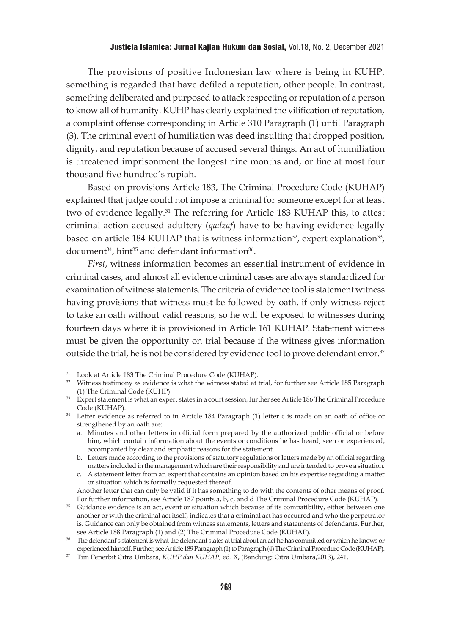The provisions of positive Indonesian law where is being in KUHP, something is regarded that have defiled a reputation, other people. In contrast, something deliberated and purposed to attack respecting or reputation of a person to know all of humanity. KUHP has clearly explained the vilification of reputation, a complaint offense corresponding in Article 310 Paragraph (1) until Paragraph (3). The criminal event of humiliation was deed insulting that dropped position, dignity, and reputation because of accused several things. An act of humiliation is threatened imprisonment the longest nine months and, or fine at most four thousand five hundred's rupiah.

Based on provisions Article 183, The Criminal Procedure Code (KUHAP) explained that judge could not impose a criminal for someone except for at least two of evidence legally.31 The referring for Article 183 KUHAP this, to attest criminal action accused adultery (*qadzaf*) have to be having evidence legally based on article 184 KUHAP that is witness information<sup>32</sup>, expert explanation<sup>33</sup>, document<sup>34</sup>, hint<sup>35</sup> and defendant information<sup>36</sup>.

*First*, witness information becomes an essential instrument of evidence in criminal cases, and almost all evidence criminal cases are always standardized for examination of witness statements. The criteria of evidence tool is statement witness having provisions that witness must be followed by oath, if only witness reject to take an oath without valid reasons, so he will be exposed to witnesses during fourteen days where it is provisioned in Article 161 KUHAP. Statement witness must be given the opportunity on trial because if the witness gives information outside the trial, he is not be considered by evidence tool to prove defendant error.<sup>37</sup>

<sup>31</sup> Look at Article 183 The Criminal Procedure Code (KUHAP).

<sup>&</sup>lt;sup>32</sup> Witness testimony as evidence is what the witness stated at trial, for further see Article 185 Paragraph (1) The Criminal Code (KUHP).

<sup>&</sup>lt;sup>33</sup> Expert statement is what an expert states in a court session, further see Article 186 The Criminal Procedure Code (KUHAP).

<sup>&</sup>lt;sup>34</sup> Letter evidence as referred to in Article 184 Paragraph (1) letter c is made on an oath of office or strengthened by an oath are:

a. Minutes and other letters in official form prepared by the authorized public official or before him, which contain information about the events or conditions he has heard, seen or experienced, accompanied by clear and emphatic reasons for the statement.

b. Letters made according to the provisions of statutory regulations or letters made by an official regarding matters included in the management which are their responsibility and are intended to prove a situation.

c. A statement letter from an expert that contains an opinion based on his expertise regarding a matter or situation which is formally requested thereof.

Another letter that can only be valid if it has something to do with the contents of other means of proof. For further information, see Article 187 points a, b, c, and d The Criminal Procedure Code (KUHAP).

<sup>&</sup>lt;sup>35</sup> Guidance evidence is an act, event or situation which because of its compatibility, either between one another or with the criminal act itself, indicates that a criminal act has occurred and who the perpetrator is. Guidance can only be obtained from witness statements, letters and statements of defendants. Further, see Article 188 Paragraph (1) and (2) The Criminal Procedure Code (KUHAP).

<sup>36</sup> The defendant's statement is what the defendant states at trial about an act he has committed or which he knows or experienced himself. Further, see Article 189 Paragraph (1) to Paragraph (4) The Criminal Procedure Code (KUHAP).

<sup>37</sup> Tim Penerbit Citra Umbara, *KUHP dan KUHAP,* ed. X, (Bandung: Citra Umbara,2013), 241.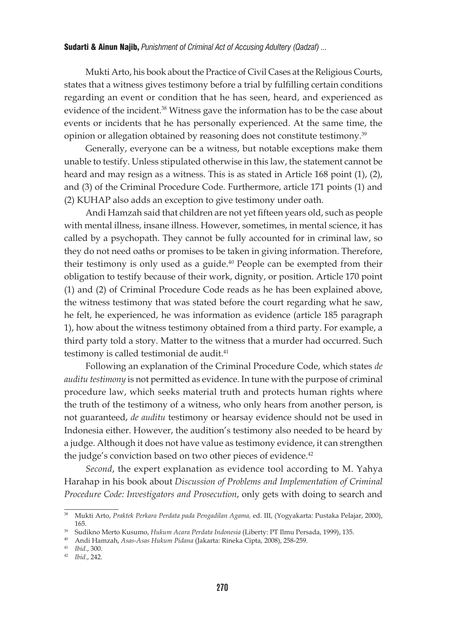Mukti Arto, his book about the Practice of Civil Cases at the Religious Courts, states that a witness gives testimony before a trial by fulfilling certain conditions regarding an event or condition that he has seen, heard, and experienced as evidence of the incident.<sup>38</sup> Witness gave the information has to be the case about events or incidents that he has personally experienced. At the same time, the opinion or allegation obtained by reasoning does not constitute testimony.39

Generally, everyone can be a witness, but notable exceptions make them unable to testify. Unless stipulated otherwise in this law, the statement cannot be heard and may resign as a witness. This is as stated in Article 168 point (1), (2), and (3) of the Criminal Procedure Code. Furthermore, article 171 points (1) and (2) KUHAP also adds an exception to give testimony under oath.

Andi Hamzah said that children are not yet fifteen years old, such as people with mental illness, insane illness. However, sometimes, in mental science, it has called by a psychopath. They cannot be fully accounted for in criminal law, so they do not need oaths or promises to be taken in giving information. Therefore, their testimony is only used as a guide. $40$  People can be exempted from their obligation to testify because of their work, dignity, or position. Article 170 point (1) and (2) of Criminal Procedure Code reads as he has been explained above, the witness testimony that was stated before the court regarding what he saw, he felt, he experienced, he was information as evidence (article 185 paragraph 1), how about the witness testimony obtained from a third party. For example, a third party told a story. Matter to the witness that a murder had occurred. Such testimony is called testimonial de audit.<sup>41</sup>

Following an explanation of the Criminal Procedure Code, which states *de auditu testimony* is not permitted as evidence. In tune with the purpose of criminal procedure law, which seeks material truth and protects human rights where the truth of the testimony of a witness, who only hears from another person, is not guaranteed, *de auditu* testimony or hearsay evidence should not be used in Indonesia either. However, the audition's testimony also needed to be heard by a judge. Although it does not have value as testimony evidence, it can strengthen the judge's conviction based on two other pieces of evidence.<sup>42</sup>

*Second*, the expert explanation as evidence tool according to M. Yahya Harahap in his book about *Discussion of Problems and Implementation of Criminal Procedure Code: Investigators and Prosecution*, only gets with doing to search and

<sup>38</sup> Mukti Arto, *Praktek Perkara Perdata pada Pengadilan Agama,* ed. III, (Yogyakarta: Pustaka Pelajar, 2000),

<sup>165. 39</sup> Sudikno Merto Kusumo, *Hukum Acara Perdata Indonesia* (Liberty: PT Ilmu Persada, 1999), 135. 40 Andi Hamzah, *Asas-Asas Hukum Pidana* (Jakarta: Rineka Cipta, 2008), 258-259.

<sup>41</sup> *Ibid*., 300.

<sup>42</sup> *Ibid*., 242.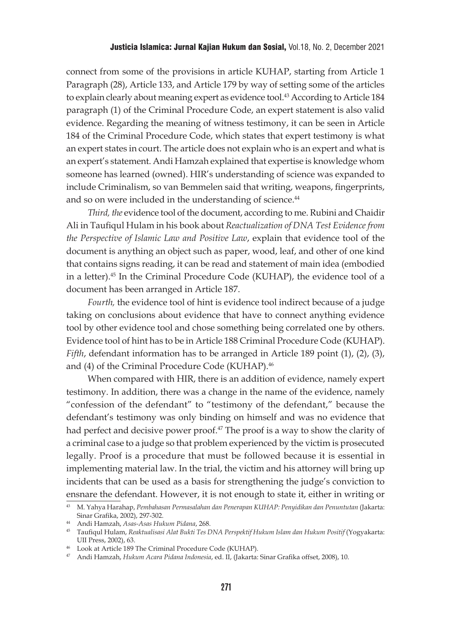connect from some of the provisions in article KUHAP, starting from Article 1 Paragraph (28), Article 133, and Article 179 by way of setting some of the articles to explain clearly about meaning expert as evidence tool.43 According to Article 184 paragraph (1) of the Criminal Procedure Code, an expert statement is also valid evidence. Regarding the meaning of witness testimony, it can be seen in Article 184 of the Criminal Procedure Code, which states that expert testimony is what an expert states in court. The article does not explain who is an expert and what is an expert's statement. Andi Hamzah explained that expertise is knowledge whom someone has learned (owned). HIR's understanding of science was expanded to include Criminalism, so van Bemmelen said that writing, weapons, fingerprints, and so on were included in the understanding of science.<sup>44</sup>

*Third, the* evidence tool of the document, according to me. Rubini and Chaidir Ali in Taufiqul Hulam in his book about *Reactualization of DNA Test Evidence from the Perspective of Islamic Law and Positive Law*, explain that evidence tool of the document is anything an object such as paper, wood, leaf, and other of one kind that contains signs reading, it can be read and statement of main idea (embodied in a letter).45 In the Criminal Procedure Code (KUHAP), the evidence tool of a document has been arranged in Article 187.

*Fourth,* the evidence tool of hint is evidence tool indirect because of a judge taking on conclusions about evidence that have to connect anything evidence tool by other evidence tool and chose something being correlated one by others. Evidence tool of hint has to be in Article 188 Criminal Procedure Code (KUHAP). *Fifth*, defendant information has to be arranged in Article 189 point (1), (2), (3), and (4) of the Criminal Procedure Code (KUHAP).46

When compared with HIR, there is an addition of evidence, namely expert testimony. In addition, there was a change in the name of the evidence, namely "confession of the defendant" to "testimony of the defendant," because the defendant's testimony was only binding on himself and was no evidence that had perfect and decisive power proof.<sup>47</sup> The proof is a way to show the clarity of a criminal case to a judge so that problem experienced by the victim is prosecuted legally. Proof is a procedure that must be followed because it is essential in implementing material law. In the trial, the victim and his attorney will bring up incidents that can be used as a basis for strengthening the judge's conviction to ensnare the defendant. However, it is not enough to state it, either in writing or

<sup>43</sup> M. Yahya Harahap, *Pembahasan Permasalahan dan Penerapan KUHAP: Penyidikan dan Penuntutan* (Jakarta: Sinar Grafika, 2002), 297-302.

<sup>44</sup> Andi Hamzah, *Asas-Asas Hukum Pidana*, 268.

<sup>45</sup> Taufiqul Hulam, *Reaktualisasi Alat Bukti Tes DNA Perspektif Hukum Islam dan Hukum Positif* (Yogyakarta: UII Press, 2002), 63.

<sup>46</sup> Look at Article 189 The Criminal Procedure Code (KUHAP).

<sup>47</sup> Andi Hamzah, *Hukum Acara Pidana Indonesia*, ed. II, (Jakarta: Sinar Grafika offset, 2008), 10.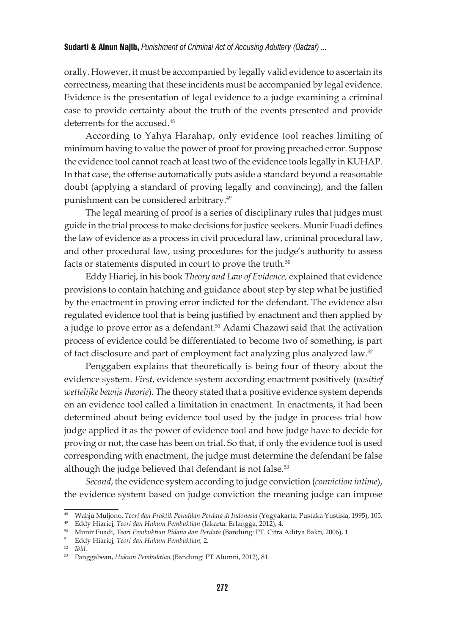orally. However, it must be accompanied by legally valid evidence to ascertain its correctness, meaning that these incidents must be accompanied by legal evidence. Evidence is the presentation of legal evidence to a judge examining a criminal case to provide certainty about the truth of the events presented and provide deterrents for the accused.<sup>48</sup>

According to Yahya Harahap, only evidence tool reaches limiting of minimum having to value the power of proof for proving preached error. Suppose the evidence tool cannot reach at least two of the evidence tools legally in KUHAP. In that case, the offense automatically puts aside a standard beyond a reasonable doubt (applying a standard of proving legally and convincing), and the fallen punishment can be considered arbitrary.<sup>49</sup>

The legal meaning of proof is a series of disciplinary rules that judges must guide in the trial process to make decisions for justice seekers. Munir Fuadi defines the law of evidence as a process in civil procedural law, criminal procedural law, and other procedural law, using procedures for the judge's authority to assess facts or statements disputed in court to prove the truth.<sup>50</sup>

Eddy Hiariej, in his book *Theory and Law of Evidence,* explained that evidence provisions to contain hatching and guidance about step by step what be justified by the enactment in proving error indicted for the defendant. The evidence also regulated evidence tool that is being justified by enactment and then applied by a judge to prove error as a defendant.<sup>51</sup> Adami Chazawi said that the activation process of evidence could be differentiated to become two of something, is part of fact disclosure and part of employment fact analyzing plus analyzed law.52

Penggaben explains that theoretically is being four of theory about the evidence system. *First*, evidence system according enactment positively (*positief wettelijke bewijs theorie*). The theory stated that a positive evidence system depends on an evidence tool called a limitation in enactment. In enactments, it had been determined about being evidence tool used by the judge in process trial how judge applied it as the power of evidence tool and how judge have to decide for proving or not, the case has been on trial. So that, if only the evidence tool is used corresponding with enactment, the judge must determine the defendant be false although the judge believed that defendant is not false.<sup>53</sup>

*Second*, the evidence system according to judge conviction (*conviction intime*), the evidence system based on judge conviction the meaning judge can impose

<sup>48</sup> Wahju Muljono, *Teori dan Praktik Peradilan Perdata di Indonesia* (Yogyakarta: Pustaka Yustisia, 1995), 105.

<sup>49</sup> Eddy Hiariej, *Teori dan Hukum Pembuktian* (Jakarta: Erlangga, 2012), 4.

<sup>50</sup> Munir Fuadi, *Teori Pembuktian Pidana dan Perdata* (Bandung: PT. Citra Aditya Bakti, 2006), 1.

<sup>51</sup> Eddy Hiariej, *Teori dan Hukum Pembuktian,* 2. 52 *Ibid.*

<sup>53</sup> Panggabean, *Hukum Pembuktian* (Bandung: PT Alumni, 2012), 81.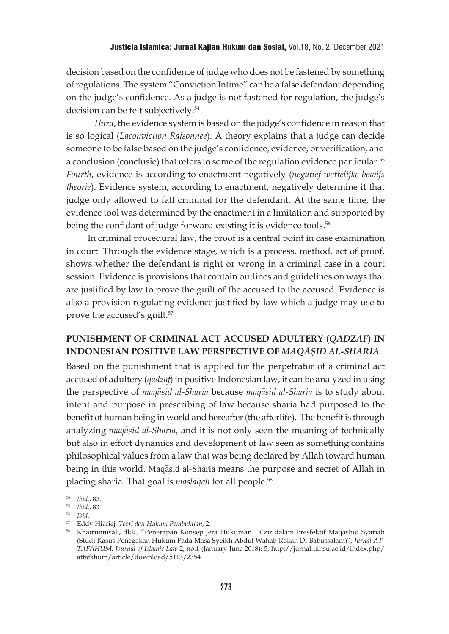decision based on the confidence of judge who does not be fastened by something of regulations. The system "Conviction Intime" can be a false defendant depending on the judge's confidence. As a judge is not fastened for regulation, the judge's decision can be felt subjectively.<sup>54</sup>

*Third*, the evidence system is based on the judge's confidence in reason that is so logical (*Laconviction Raisonnee*). A theory explains that a judge can decide someone to be false based on the judge's confidence, evidence, or verification, and a conclusion (conclusie) that refers to some of the regulation evidence particular.55 *Fourth*, evidence is according to enactment negatively (*negatief wettelijke bewijs theorie*). Evidence system, according to enactment, negatively determine it that judge only allowed to fall criminal for the defendant. At the same time, the evidence tool was determined by the enactment in a limitation and supported by being the confidant of judge forward existing it is evidence tools.<sup>56</sup>

In criminal procedural law, the proof is a central point in case examination in court. Through the evidence stage, which is a process, method, act of proof, shows whether the defendant is right or wrong in a criminal case in a court session. Evidence is provisions that contain outlines and guidelines on ways that are justified by law to prove the guilt of the accused to the accused. Evidence is also a provision regulating evidence justified by law which a judge may use to prove the accused's guilt.<sup>57</sup>

## **PUNISHMENT OF CRIMINAL ACT ACCUSED ADULTERY (***QADZAF***) IN INDONESIAN POSITIVE LAW PERSPECTIVE OF** *MAQA*>*S*{*ID AL-SHARIA*

Based on the punishment that is applied for the perpetrator of a criminal act accused of adultery (*qadzaf*) in positive Indonesian law, it can be analyzed in using the perspective of *maqasid al-Sharia* because *maqasid al-Sharia* is to study about intent and purpose in prescribing of law because sharia had purposed to the benefit of human being in world and hereafter (the afterlife). The benefit is through analyzing *maqasid al-Sharia*, and it is not only seen the meaning of technically but also in effort dynamics and development of law seen as something contains philosophical values from a law that was being declared by Allah toward human being in this world. Maqasid al-Sharia means the purpose and secret of Allah in placing sharia. That goal is *mas*{*lah*}*ah* for all people.58

<sup>54</sup> *Ibid*., 82.

<sup>55</sup> *Ibid*., 83

<sup>&</sup>lt;sup>56</sup> Ibid.<br><sup>57</sup> Eddy Hiariej, *Teori dan Hukum Pembuktian*, 2.

<sup>&</sup>lt;sup>58</sup> Khairunnisak, dkk., "Penerapan Konsep Jera Hukuman Ta'zir dalam Presfektif Maqashid Syariah (Studi Kasus Penegakan Hukum Pada Masa Syeikh Abdul Wahab Rokan Di Babussalam)", *Jurnal AT-TAFAHUM: Journal of Islamic Law* 2, no.1 (January-June 2018): 5, http://jurnal.uinsu.ac.id/index.php/ attafahum/article/download/5113/2354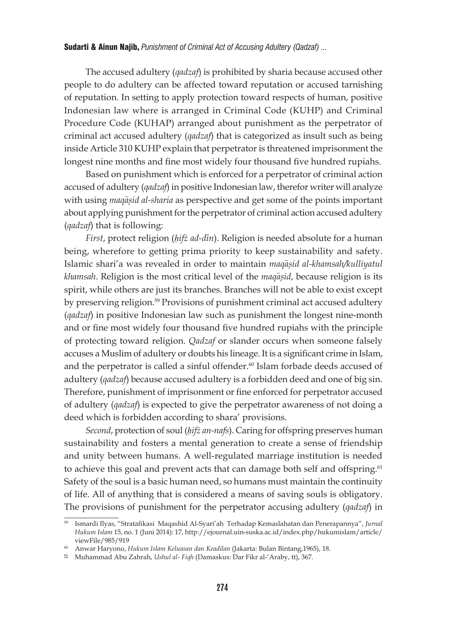The accused adultery (*qadzaf*) is prohibited by sharia because accused other people to do adultery can be affected toward reputation or accused tarnishing of reputation. In setting to apply protection toward respects of human, positive Indonesian law where is arranged in Criminal Code (KUHP) and Criminal Procedure Code (KUHAP) arranged about punishment as the perpetrator of criminal act accused adultery (*qadzaf*) that is categorized as insult such as being inside Article 310 KUHP explain that perpetrator is threatened imprisonment the longest nine months and fine most widely four thousand five hundred rupiahs.

Based on punishment which is enforced for a perpetrator of criminal action accused of adultery (*qadzaf*) in positive Indonesian law, therefor writer will analyze with using *maqasid al-sharia* as perspective and get some of the points important about applying punishment for the perpetrator of criminal action accused adultery (*qadzaf*) that is following:

*First*, protect religion (*ḥifż ad-din*). Religion is needed absolute for a human being, wherefore to getting prima priority to keep sustainability and safety. Islamic shari'a was revealed in order to maintain *maqasid al-khamsah/kulliyatul khamsah*. Religion is the most critical level of the *magasid*, because religion is its spirit, while others are just its branches. Branches will not be able to exist except by preserving religion.<sup>59</sup> Provisions of punishment criminal act accused adultery (*qadzaf*) in positive Indonesian law such as punishment the longest nine-month and or fine most widely four thousand five hundred rupiahs with the principle of protecting toward religion. *Qadzaf* or slander occurs when someone falsely accuses a Muslim of adultery or doubts his lineage. It is a significant crime in Islam, and the perpetrator is called a sinful offender.<sup>60</sup> Islam forbade deeds accused of adultery (*qadzaf*) because accused adultery is a forbidden deed and one of big sin. Therefore, punishment of imprisonment or fine enforced for perpetrator accused of adultery (*qadzaf*) is expected to give the perpetrator awareness of not doing a deed which is forbidden according to shara' provisions.

*Second*, protection of soul (*ḥifż an-nafs*). Caring for offspring preserves human sustainability and fosters a mental generation to create a sense of friendship and unity between humans. A well-regulated marriage institution is needed to achieve this goal and prevent acts that can damage both self and offspring.<sup>61</sup> Safety of the soul is a basic human need, so humans must maintain the continuity of life. All of anything that is considered a means of saving souls is obligatory. The provisions of punishment for the perpetrator accusing adultery (*qadzaf*) in

<sup>59</sup> Ismardi Ilyas, "Stratafikasi Maqashid Al-Syari'ah Terhadap Kemaslahatan dan Penerapannya", *Jurnal Hukum Islam* 15, no. 1 (Juni 2014): 17, http://ejournal.uin-suska.ac.id/index.php/hukumislam/article/ viewFile/985/919

<sup>60</sup> Anwar Haryono, *Hukum Islam Keluasan dan Keadilan* (Jakarta: Bulan Bintang,1965), 18.

<sup>61</sup> Muhammad Abu Zahrah, *Ushul al- Fiqh* (Damaskus: Dar Fikr al-'Araby, tt), 367.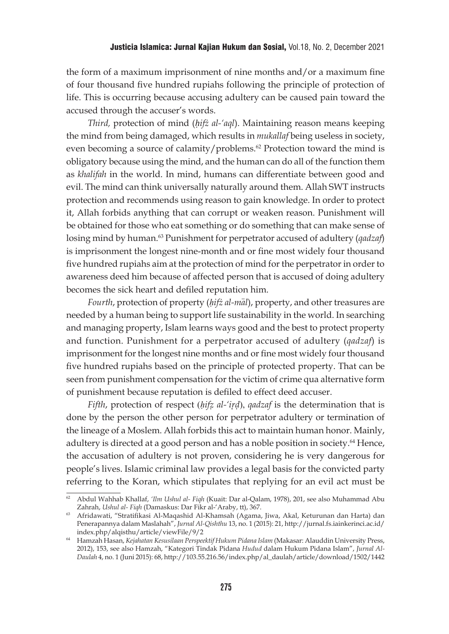the form of a maximum imprisonment of nine months and/or a maximum fine of four thousand five hundred rupiahs following the principle of protection of life. This is occurring because accusing adultery can be caused pain toward the accused through the accuser's words.

*Third,* protection of mind (*ḥifż al-'aql*). Maintaining reason means keeping the mind from being damaged, which results in *mukallaf* being useless in society, even becoming a source of calamity/problems.<sup>62</sup> Protection toward the mind is obligatory because using the mind, and the human can do all of the function them as *khalifah* in the world. In mind, humans can differentiate between good and evil. The mind can think universally naturally around them. Allah SWT instructs protection and recommends using reason to gain knowledge. In order to protect it, Allah forbids anything that can corrupt or weaken reason. Punishment will be obtained for those who eat something or do something that can make sense of losing mind by human.63 Punishment for perpetrator accused of adultery (*qadzaf*) is imprisonment the longest nine-month and or fine most widely four thousand five hundred rupiahs aim at the protection of mind for the perpetrator in order to awareness deed him because of affected person that is accused of doing adultery becomes the sick heart and defiled reputation him.

*Fourth*, protection of property (*hifz al-mal*), property, and other treasures are needed by a human being to support life sustainability in the world. In searching and managing property, Islam learns ways good and the best to protect property and function. Punishment for a perpetrator accused of adultery (*qadzaf*) is imprisonment for the longest nine months and or fine most widely four thousand five hundred rupiahs based on the principle of protected property. That can be seen from punishment compensation for the victim of crime qua alternative form of punishment because reputation is defiled to effect deed accuser.

*Fifth*, protection of respect (*ḥifz*{ *al-'ir*{*d*{), *qadzaf* is the determination that is done by the person the other person for perpetrator adultery or termination of the lineage of a Moslem. Allah forbids this act to maintain human honor. Mainly, adultery is directed at a good person and has a noble position in society.<sup>64</sup> Hence, the accusation of adultery is not proven, considering he is very dangerous for people's lives. Islamic criminal law provides a legal basis for the convicted party referring to the Koran, which stipulates that replying for an evil act must be

<sup>62</sup> Abdul Wahhab Khallaf, *'Ilm Ushul al- Fiqh* (Kuait: Dar al-Qalam, 1978), 201, see also Muhammad Abu Zahrah, *Ushul al- Fiqh* (Damaskus: Dar Fikr al-'Araby, tt), 367.

<sup>63</sup> Afridawati, "Stratifikasi Al-Maqashid Al-Khamsah (Agama, Jiwa, Akal, Keturunan dan Harta) dan Penerapannya dalam Maslahah", *Jurnal Al-Qishthu* 13, no. 1 (2015): 21, http://jurnal.fs.iainkerinci.ac.id/ index.php/alqisthu/article/viewFile/9/2 64 Hamzah Hasan, *Kejahatan Kesusilaan Perspeektif Hukum Pidana Islam* (Makasar: Alauddin University Press,

<sup>2012), 153,</sup> see also Hamzah, "Kategori Tindak Pidana *Hudud* dalam Hukum Pidana Islam", *Jurnal Al-Daulah* 4, no. 1 (Juni 2015): 68, http://103.55.216.56/index.php/al\_daulah/article/download/1502/1442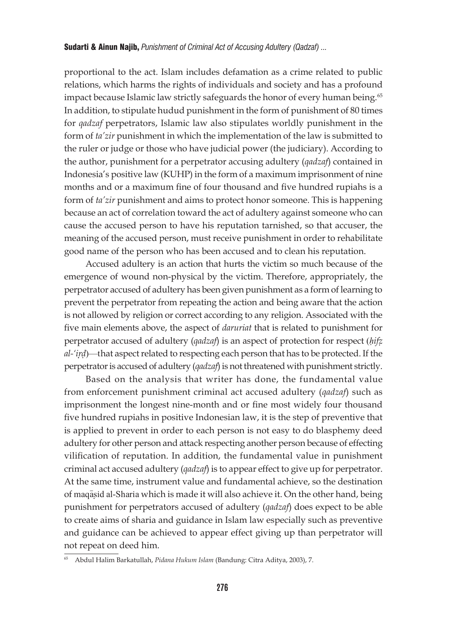proportional to the act. Islam includes defamation as a crime related to public relations, which harms the rights of individuals and society and has a profound impact because Islamic law strictly safeguards the honor of every human being.<sup>65</sup> In addition, to stipulate hudud punishment in the form of punishment of 80 times for *qadzaf* perpetrators, Islamic law also stipulates worldly punishment in the form of *ta'zir* punishment in which the implementation of the law is submitted to the ruler or judge or those who have judicial power (the judiciary). According to the author, punishment for a perpetrator accusing adultery (*qadzaf*) contained in Indonesia's positive law (KUHP) in the form of a maximum imprisonment of nine months and or a maximum fine of four thousand and five hundred rupiahs is a form of *ta'zir* punishment and aims to protect honor someone. This is happening because an act of correlation toward the act of adultery against someone who can cause the accused person to have his reputation tarnished, so that accuser, the meaning of the accused person, must receive punishment in order to rehabilitate good name of the person who has been accused and to clean his reputation.

Accused adultery is an action that hurts the victim so much because of the emergence of wound non-physical by the victim. Therefore, appropriately, the perpetrator accused of adultery has been given punishment as a form of learning to prevent the perpetrator from repeating the action and being aware that the action is not allowed by religion or correct according to any religion. Associated with the five main elements above, the aspect of *daruriat* that is related to punishment for perpetrator accused of adultery (*qadzaf*) is an aspect of protection for respect (*ḥifz*{ *al-'ird*}—that aspect related to respecting each person that has to be protected. If the perpetrator is accused of adultery (*qadzaf*) is not threatened with punishment strictly.

Based on the analysis that writer has done, the fundamental value from enforcement punishment criminal act accused adultery (*qadzaf*) such as imprisonment the longest nine-month and or fine most widely four thousand five hundred rupiahs in positive Indonesian law, it is the step of preventive that is applied to prevent in order to each person is not easy to do blasphemy deed adultery for other person and attack respecting another person because of effecting vilification of reputation. In addition, the fundamental value in punishment criminal act accused adultery (*qadzaf*) is to appear effect to give up for perpetrator. At the same time, instrument value and fundamental achieve, so the destination of maqasid al-Sharia which is made it will also achieve it. On the other hand, being punishment for perpetrators accused of adultery (*qadzaf*) does expect to be able to create aims of sharia and guidance in Islam law especially such as preventive and guidance can be achieved to appear effect giving up than perpetrator will not repeat on deed him.

<sup>65</sup> Abdul Halim Barkatullah, *Pidana Hukum Islam* (Bandung: Citra Aditya, 2003), 7.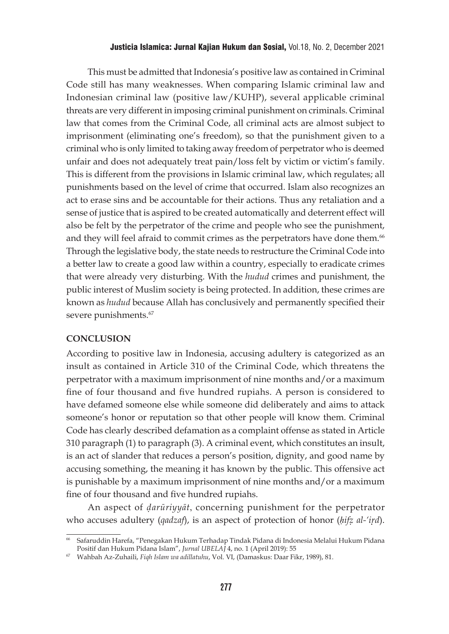#### Justicia Islamica: Jurnal Kajian Hukum dan Sosial, Vol.18, No. 2, December 2021

This must be admitted that Indonesia's positive law as contained in Criminal Code still has many weaknesses. When comparing Islamic criminal law and Indonesian criminal law (positive law/KUHP), several applicable criminal threats are very different in imposing criminal punishment on criminals. Criminal law that comes from the Criminal Code, all criminal acts are almost subject to imprisonment (eliminating one's freedom), so that the punishment given to a criminal who is only limited to taking away freedom of perpetrator who is deemed unfair and does not adequately treat pain/loss felt by victim or victim's family. This is different from the provisions in Islamic criminal law, which regulates; all punishments based on the level of crime that occurred. Islam also recognizes an act to erase sins and be accountable for their actions. Thus any retaliation and a sense of justice that is aspired to be created automatically and deterrent effect will also be felt by the perpetrator of the crime and people who see the punishment, and they will feel afraid to commit crimes as the perpetrators have done them.<sup>66</sup> Through the legislative body, the state needs to restructure the Criminal Code into a better law to create a good law within a country, especially to eradicate crimes that were already very disturbing. With the *hudud* crimes and punishment, the public interest of Muslim society is being protected. In addition, these crimes are known as *hudud* because Allah has conclusively and permanently specified their severe punishments.<sup>67</sup>

#### **CONCLUSION**

According to positive law in Indonesia, accusing adultery is categorized as an insult as contained in Article 310 of the Criminal Code, which threatens the perpetrator with a maximum imprisonment of nine months and/or a maximum fine of four thousand and five hundred rupiahs. A person is considered to have defamed someone else while someone did deliberately and aims to attack someone's honor or reputation so that other people will know them. Criminal Code has clearly described defamation as a complaint offense as stated in Article 310 paragraph (1) to paragraph (3). A criminal event, which constitutes an insult, is an act of slander that reduces a person's position, dignity, and good name by accusing something, the meaning it has known by the public. This offensive act is punishable by a maximum imprisonment of nine months and/or a maximum fine of four thousand and five hundred rupiahs.

An aspect of *d*{*arūriyyāt*, concerning punishment for the perpetrator who accuses adultery (*qadzaf*), is an aspect of protection of honor (*hifz al-'ird*).

<sup>66</sup> Safaruddin Harefa, "Penegakan Hukum Terhadap Tindak Pidana di Indonesia Melalui Hukum Pidana Positif dan Hukum Pidana Islam", *Jurnal UBELAJ* 4, no. 1 (April 2019): 55

<sup>67</sup> Wahbah Az-Zuhaili, *Fiqh Islam wa adillatuhu*, Vol. VI, (Damaskus: Daar Fikr, 1989), 81.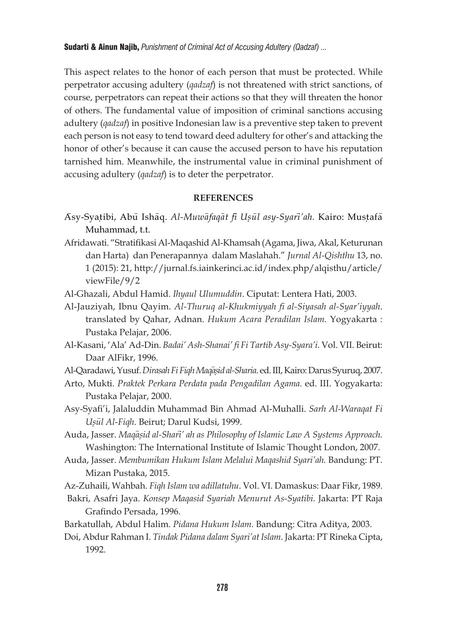This aspect relates to the honor of each person that must be protected. While perpetrator accusing adultery (*qadzaf*) is not threatened with strict sanctions, of course, perpetrators can repeat their actions so that they will threaten the honor of others. The fundamental value of imposition of criminal sanctions accusing adultery (*qadzaf*) in positive Indonesian law is a preventive step taken to prevent each person is not easy to tend toward deed adultery for other's and attacking the honor of other's because it can cause the accused person to have his reputation tarnished him. Meanwhile, the instrumental value in criminal punishment of accusing adultery (*qadzaf*) is to deter the perpetrator.

## **REFERENCES**

- A>sy-Syat{ibi, Abu> Isha>q. *Al-Muwa*>*faqa*>*t fi*> *Us*{*u*>*l asy-Syari*>*'ah.* Kairo: Must{afa> Muhammad, t.t.
- Afridawati. "Stratifikasi Al-Maqashid Al-Khamsah (Agama, Jiwa, Akal, Keturunan dan Harta) dan Penerapannya dalam Maslahah." *Jurnal Al-Qishthu* 13, no. 1 (2015): 21, http://jurnal.fs.iainkerinci.ac.id/index.php/alqisthu/article/ viewFile/9/2
- Al-Ghazali, Abdul Hamid. *Ihyaul Ulumuddin*. Ciputat: Lentera Hati, 2003.
- Al-Jauziyah, Ibnu Qayim. *Al-Thuruq al-Khukmiyyah fi al-Siyasah al-Syar'iyyah*. translated by Qahar, Adnan. *Hukum Acara Peradilan Islam.* Yogyakarta : Pustaka Pelajar, 2006.
- Al-Kasani, 'Ala' Ad-Din. *Badai' Ash-Shanai' fi Fi Tartib Asy-Syara'i*. Vol. VII. Beirut: Daar AlFikr, 1996.
- Al-Qaradawi, Yusuf. *Dirasah Fi Fiqh Maqasid al-Sharia*. ed. III, Kairo: Darus Syuruq, 2007.
- Arto, Mukti. *Praktek Perkara Perdata pada Pengadilan Agama.* ed. III. Yogyakarta: Pustaka Pelajar, 2000.
- Asy-Syafi'i, Jalaluddin Muhammad Bin Ahmad Al-Muhalli. *Sarh Al-Waraqat Fi Us*{*u*>*l Al-Fiqh*. Beirut; Darul Kudsi, 1999.
- Auda, Jasser. *Maqa*>*s*{*id al-Shari*>*' ah as Philosophy of Islamic Law A Systems Approach.*  Washington: The International Institute of Islamic Thought London, 2007.
- Auda, Jasser. *Membumikan Hukum Islam Melalui Maqashid Syari'ah.* Bandung: PT. Mizan Pustaka, 2015.
- Az-Zuhaili, Wahbah. *Fiqh Islam wa adillatuhu*. Vol. VI. Damaskus: Daar Fikr, 1989.
- Bakri, Asafri Jaya. *Konsep Maqasid Syariah Menurut As-Syatibi.* Jakarta: PT Raja Grafindo Persada, 1996.
- Barkatullah, Abdul Halim. *Pidana Hukum Islam*. Bandung: Citra Aditya, 2003.
- Doi, Abdur Rahman I. *Tindak Pidana dalam Syari'at Islam*. Jakarta: PT Rineka Cipta, 1992.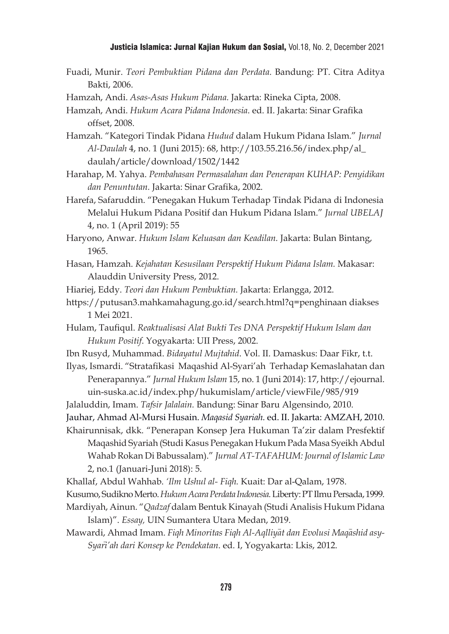### Justicia Islamica: Jurnal Kajian Hukum dan Sosial, Vol.18, No. 2, December 2021

- Fuadi, Munir. *Teori Pembuktian Pidana dan Perdata.* Bandung: PT. Citra Aditya Bakti, 2006.
- Hamzah, Andi. *Asas-Asas Hukum Pidana.* Jakarta: Rineka Cipta, 2008.

Hamzah, Andi. *Hukum Acara Pidana Indonesia*. ed. II. Jakarta: Sinar Grafika offset, 2008.

Hamzah. "Kategori Tindak Pidana *Hudud* dalam Hukum Pidana Islam." *Jurnal Al-Daulah* 4, no. 1 (Juni 2015): 68, http://103.55.216.56/index.php/al\_ daulah/article/download/1502/1442

Harahap, M. Yahya. *Pembahasan Permasalahan dan Penerapan KUHAP: Penyidikan dan Penuntutan.* Jakarta: Sinar Grafika, 2002.

Harefa, Safaruddin. "Penegakan Hukum Terhadap Tindak Pidana di Indonesia Melalui Hukum Pidana Positif dan Hukum Pidana Islam." *Jurnal UBELAJ* 4, no. 1 (April 2019): 55

Haryono, Anwar. *Hukum Islam Keluasan dan Keadilan.* Jakarta: Bulan Bintang, 1965.

Hasan, Hamzah. *Kejahatan Kesusilaan Perspektif Hukum Pidana Islam.* Makasar: Alauddin University Press, 2012.

Hiariej, Eddy. *Teori dan Hukum Pembuktian.* Jakarta: Erlangga, 2012.

- https://putusan3.mahkamahagung.go.id/search.html?q=penghinaan diakses 1 Mei 2021.
- Hulam, Taufiqul. *Reaktualisasi Alat Bukti Tes DNA Perspektif Hukum Islam dan Hukum Positif*. Yogyakarta: UII Press, 2002.
- Ibn Rusyd, Muhammad. *Bidayatul Mujtahid*. Vol. II. Damaskus: Daar Fikr, t.t.

Ilyas, Ismardi. "Stratafikasi Maqashid Al-Syari'ah Terhadap Kemaslahatan dan Penerapannya." *Jurnal Hukum Islam* 15, no. 1 (Juni 2014): 17, http://ejournal. uin-suska.ac.id/index.php/hukumislam/article/viewFile/985/919

Jalaluddin, Imam. *Tafsir Jalalain.* Bandung: Sinar Baru Algensindo, 2010.

Jauhar, Ahmad Al-Mursi Husain. *Maqasid Syariah.* ed. II. Jakarta: AMZAH, 2010.

Khairunnisak, dkk. "Penerapan Konsep Jera Hukuman Ta'zir dalam Presfektif Maqashid Syariah (Studi Kasus Penegakan Hukum Pada Masa Syeikh Abdul Wahab Rokan Di Babussalam)." *Jurnal AT-TAFAHUM: Journal of Islamic Law*  2, no.1 (Januari-Juni 2018): 5.

Khallaf, Abdul Wahhab. *'Ilm Ushul al- Fiqh.* Kuait: Dar al-Qalam, 1978.

Kusumo, Sudikno Merto. *Hukum Acara Perdata Indonesia.* Liberty: PT Ilmu Persada, 1999.

- Mardiyah, Ainun. "*Qadzaf* dalam Bentuk Kinayah (Studi Analisis Hukum Pidana Islam)". *Essay,* UIN Sumantera Utara Medan, 2019.
- Mawardi, Ahmad Imam. Figh Minoritas Figh Al-Aqlliyat dan Evolusi Maqashid asy-*Syari*>*'ah dari Konsep ke Pendekatan*. ed. I, Yogyakarta: Lkis, 2012.